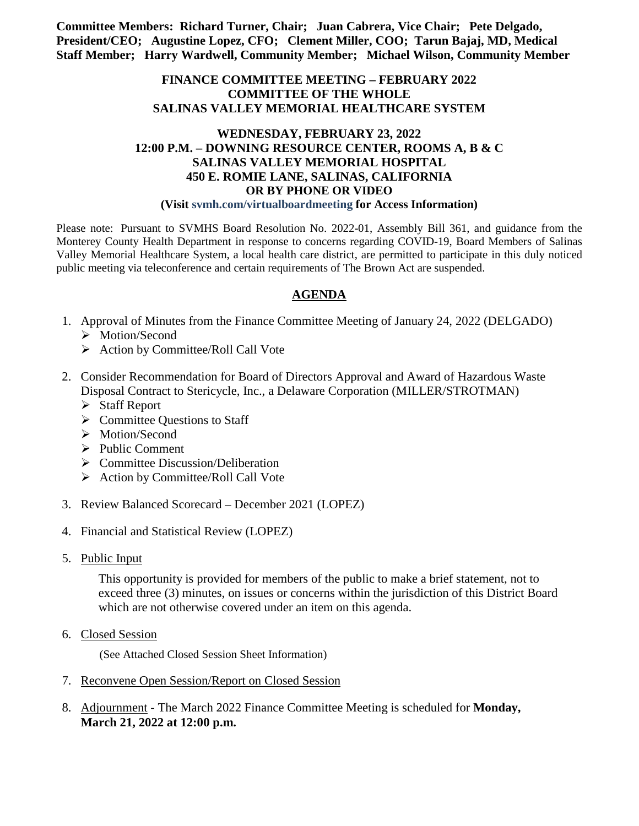**Committee Members: Richard Turner, Chair; Juan Cabrera, Vice Chair; Pete Delgado, President/CEO; Augustine Lopez, CFO; Clement Miller, COO; Tarun Bajaj, MD, Medical Staff Member; Harry Wardwell, Community Member; Michael Wilson, Community Member**

## **FINANCE COMMITTEE MEETING – FEBRUARY 2022 COMMITTEE OF THE WHOLE SALINAS VALLEY MEMORIAL HEALTHCARE SYSTEM**

# **WEDNESDAY, FEBRUARY 23, 2022 12:00 P.M. – DOWNING RESOURCE CENTER, ROOMS A, B & C SALINAS VALLEY MEMORIAL HOSPITAL 450 E. ROMIE LANE, SALINAS, CALIFORNIA OR BY PHONE OR VIDEO**

### **(Visit svmh.com/virtualboardmeeting for Access Information)**

Please note: Pursuant to SVMHS Board Resolution No. 2022-01, Assembly Bill 361, and guidance from the Monterey County Health Department in response to concerns regarding COVID-19, Board Members of Salinas Valley Memorial Healthcare System, a local health care district, are permitted to participate in this duly noticed public meeting via teleconference and certain requirements of The Brown Act are suspended.

# **AGENDA**

- 1. Approval of Minutes from the Finance Committee Meeting of January 24, 2022 (DELGADO)
	- > Motion/Second
	- $\triangleright$  Action by Committee/Roll Call Vote
- 2. Consider Recommendation for Board of Directors Approval and Award of Hazardous Waste Disposal Contract to Stericycle, Inc., a Delaware Corporation (MILLER/STROTMAN)
	- $\triangleright$  Staff Report
	- $\triangleright$  Committee Questions to Staff
	- > Motion/Second
	- $\triangleright$  Public Comment
	- $\triangleright$  Committee Discussion/Deliberation
	- $\triangleright$  Action by Committee/Roll Call Vote
- 3. Review Balanced Scorecard December 2021 (LOPEZ)
- 4. Financial and Statistical Review (LOPEZ)
- 5. Public Input

This opportunity is provided for members of the public to make a brief statement, not to exceed three (3) minutes, on issues or concerns within the jurisdiction of this District Board which are not otherwise covered under an item on this agenda.

6. Closed Session

(See Attached Closed Session Sheet Information)

- 7. Reconvene Open Session/Report on Closed Session
- 8. Adjournment The March 2022 Finance Committee Meeting is scheduled for **Monday, March 21, 2022 at 12:00 p.m.**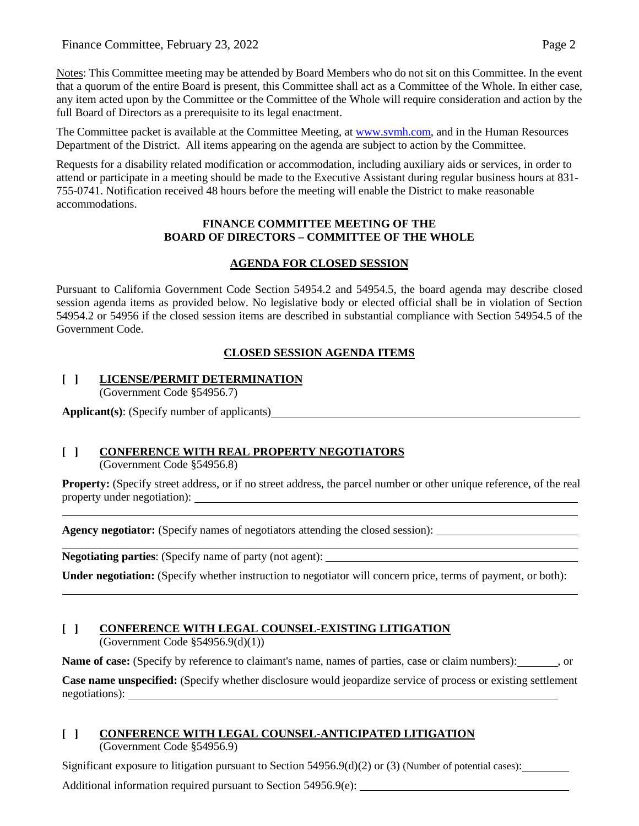Notes: This Committee meeting may be attended by Board Members who do not sit on this Committee. In the event that a quorum of the entire Board is present, this Committee shall act as a Committee of the Whole. In either case, any item acted upon by the Committee or the Committee of the Whole will require consideration and action by the full Board of Directors as a prerequisite to its legal enactment.

The Committee packet is available at the Committee Meeting, at [www.svmh.com,](http://www.svmh.com/) and in the Human Resources Department of the District. All items appearing on the agenda are subject to action by the Committee.

Requests for a disability related modification or accommodation, including auxiliary aids or services, in order to attend or participate in a meeting should be made to the Executive Assistant during regular business hours at 831- 755-0741. Notification received 48 hours before the meeting will enable the District to make reasonable accommodations.

### **FINANCE COMMITTEE MEETING OF THE BOARD OF DIRECTORS – COMMITTEE OF THE WHOLE**

# **AGENDA FOR CLOSED SESSION**

Pursuant to California Government Code Section 54954.2 and 54954.5, the board agenda may describe closed session agenda items as provided below. No legislative body or elected official shall be in violation of Section 54954.2 or 54956 if the closed session items are described in substantial compliance with Section 54954.5 of the Government Code.

# **CLOSED SESSION AGENDA ITEMS**

#### **[ ] LICENSE/PERMIT DETERMINATION** (Government Code §54956.7)

**Applicant(s)**: (Specify number of applicants)

# **[ ] CONFERENCE WITH REAL PROPERTY NEGOTIATORS**

(Government Code §54956.8)

**Property:** (Specify street address, or if no street address, the parcel number or other unique reference, of the real property under negotiation):

<u> 1980 - Johann Barn, mars ann an t-Amhain Aonaich an t-Aonaich an t-Aonaich ann an t-Aonaich ann an t-Aonaich</u>

**Agency negotiator:** (Specify names of negotiators attending the closed session):

**Negotiating parties**: (Specify name of party (not agent):

**Under negotiation:** (Specify whether instruction to negotiator will concern price, terms of payment, or both):

### **[ ] CONFERENCE WITH LEGAL COUNSEL-EXISTING LITIGATION** (Government Code §54956.9(d)(1))

**Name of case:** (Specify by reference to claimant's name, names of parties, case or claim numbers): , or

**Case name unspecified:** (Specify whether disclosure would jeopardize service of process or existing settlement negotiations):

#### **[ ] CONFERENCE WITH LEGAL COUNSEL-ANTICIPATED LITIGATION** (Government Code §54956.9)

Significant exposure to litigation pursuant to Section  $54956.9(d)(2)$  or (3) (Number of potential cases):

Additional information required pursuant to Section 54956.9(e):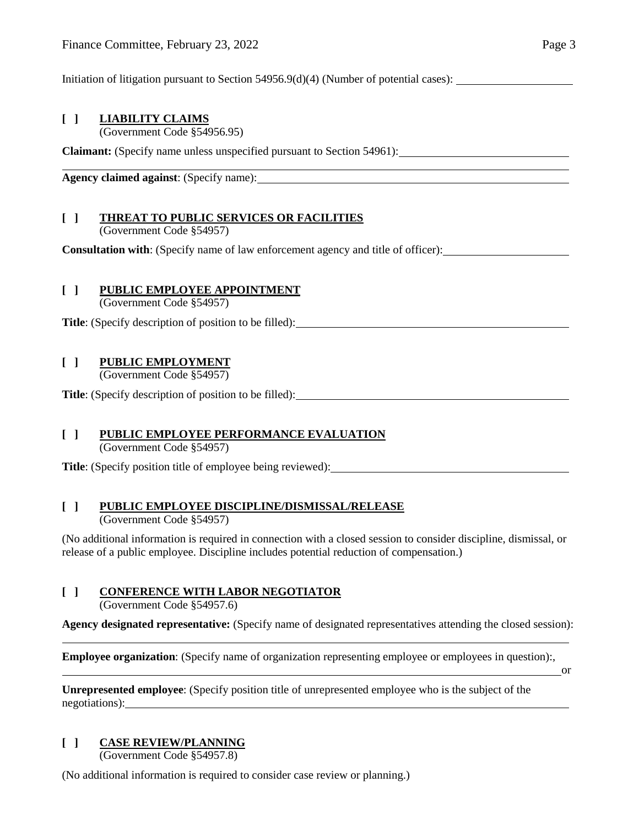Initiation of litigation pursuant to Section 54956.9(d)(4) (Number of potential cases):

## **[ ] LIABILITY CLAIMS**

(Government Code §54956.95)

**Claimant:** (Specify name unless unspecified pursuant to Section 54961):

**Agency claimed against**: (Specify name):

# **[ ] THREAT TO PUBLIC SERVICES OR FACILITIES**

(Government Code §54957)

**Consultation with**: (Specify name of law enforcement agency and title of officer):

### **[ ] PUBLIC EMPLOYEE APPOINTMENT**

(Government Code §54957)

**Title**: (Specify description of position to be filled):

## **[ ] PUBLIC EMPLOYMENT**

(Government Code §54957)

**Title**: (Specify description of position to be filled):

### **[ ] PUBLIC EMPLOYEE PERFORMANCE EVALUATION**

(Government Code §54957)

**Title**: (Specify position title of employee being reviewed):

### **[ ] PUBLIC EMPLOYEE DISCIPLINE/DISMISSAL/RELEASE**

(Government Code §54957)

(No additional information is required in connection with a closed session to consider discipline, dismissal, or release of a public employee. Discipline includes potential reduction of compensation.)

### **[ ] CONFERENCE WITH LABOR NEGOTIATOR**

(Government Code §54957.6)

**Agency designated representative:** (Specify name of designated representatives attending the closed session):

**Employee organization**: (Specify name of organization representing employee or employees in question):,

or

**Unrepresented employee**: (Specify position title of unrepresented employee who is the subject of the negotiations):

# **[ ] CASE REVIEW/PLANNING**

(Government Code §54957.8)

(No additional information is required to consider case review or planning.)